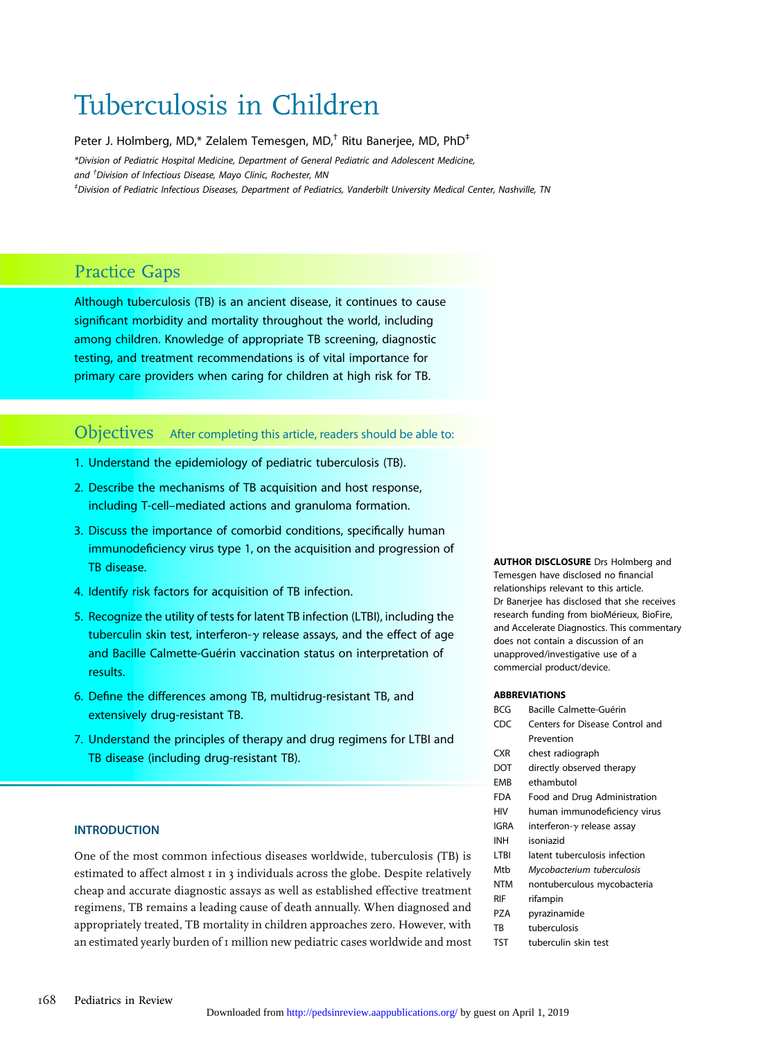# Tuberculosis in Children

Peter J. Holmberg, MD,\* Zelalem Temesgen, MD, $^{\dagger}$  Ritu Banerjee, MD, PhD $^{\dagger}$ 

\*Division of Pediatric Hospital Medicine, Department of General Pediatric and Adolescent Medicine, and † Division of Infectious Disease, Mayo Clinic, Rochester, MN ‡ Division of Pediatric Infectious Diseases, Department of Pediatrics, Vanderbilt University Medical Center, Nashville, TN

### Practice Gaps

Although tuberculosis (TB) is an ancient disease, it continues to cause significant morbidity and mortality throughout the world, including among children. Knowledge of appropriate TB screening, diagnostic testing, and treatment recommendations is of vital importance for primary care providers when caring for children at high risk for TB.

### Objectives After completing this article, readers should be able to:

- 1. Understand the epidemiology of pediatric tuberculosis (TB).
- 2. Describe the mechanisms of TB acquisition and host response, including T-cell–mediated actions and granuloma formation.
- 3. Discuss the importance of comorbid conditions, specifically human immunodeficiency virus type 1, on the acquisition and progression of TB disease.
- 4. Identify risk factors for acquisition of TB infection.
- 5. Recognize the utility of tests for latent TB infection (LTBI), including the tuberculin skin test, interferon- $\gamma$  release assays, and the effect of age and Bacille Calmette-Guérin vaccination status on interpretation of results.
- 6. Define the differences among TB, multidrug-resistant TB, and extensively drug-resistant TB.
- 7. Understand the principles of therapy and drug regimens for LTBI and TB disease (including drug-resistant TB).

#### INTRODUCTION

One of the most common infectious diseases worldwide, tuberculosis (TB) is estimated to affect almost I in 3 individuals across the globe. Despite relatively cheap and accurate diagnostic assays as well as established effective treatment regimens, TB remains a leading cause of death annually. When diagnosed and appropriately treated, TB mortality in children approaches zero. However, with an estimated yearly burden of 1 million new pediatric cases worldwide and most

AUTHOR DISCLOSURE Drs Holmberg and Temesgen have disclosed no financial relationships relevant to this article. Dr Banerjee has disclosed that she receives research funding from bioMérieux, BioFire, and Accelerate Diagnostics. This commentary does not contain a discussion of an unapproved/investigative use of a commercial product/device.

#### ABBREVIATIONS

| RCG         | Bacille Calmette-Guérin            |
|-------------|------------------------------------|
| CDC         | Centers for Disease Control and    |
|             | Prevention                         |
| CXR         | chest radiograph                   |
| DOT         | directly observed therapy          |
| EMB         | ethambutol                         |
| FDA         | Food and Drug Administration       |
| HIV         | human immunodeficiency virus       |
| <b>IGRA</b> | interferon- $\gamma$ release assay |
| INH         | isoniazid                          |
| LTBI        | latent tuberculosis infection      |
| Mtb         | Mycobacterium tuberculosis         |
| NTM         | nontuberculous mycobacteria        |
| RIF         | rifampin                           |
| PZA         | pyrazinamide                       |

- TB tuberculosis
- TST tuberculin skin test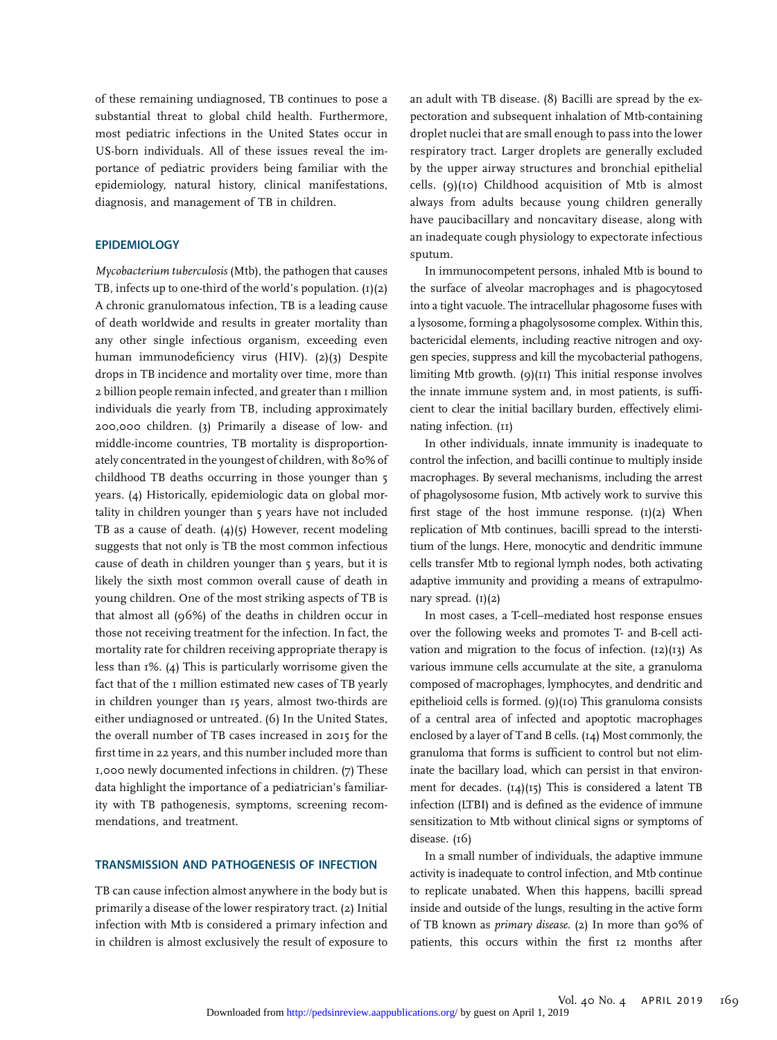of these remaining undiagnosed, TB continues to pose a substantial threat to global child health. Furthermore, most pediatric infections in the United States occur in US-born individuals. All of these issues reveal the importance of pediatric providers being familiar with the epidemiology, natural history, clinical manifestations, diagnosis, and management of TB in children.

#### **EPIDEMIOLOGY**

Mycobacterium tuberculosis (Mtb), the pathogen that causes TB, infects up to one-third of the world's population.  $(I)(2)$ A chronic granulomatous infection, TB is a leading cause of death worldwide and results in greater mortality than any other single infectious organism, exceeding even human immunodeficiency virus (HIV). (2)(3) Despite drops in TB incidence and mortality over time, more than 2 billion people remain infected, and greater than 1 million individuals die yearly from TB, including approximately 200,000 children. (3) Primarily a disease of low- and middle-income countries, TB mortality is disproportionately concentrated in the youngest of children, with 80% of childhood TB deaths occurring in those younger than 5 years. (4) Historically, epidemiologic data on global mortality in children younger than 5 years have not included TB as a cause of death.  $(4)(5)$  However, recent modeling suggests that not only is TB the most common infectious cause of death in children younger than 5 years, but it is likely the sixth most common overall cause of death in young children. One of the most striking aspects of TB is that almost all (96%) of the deaths in children occur in those not receiving treatment for the infection. In fact, the mortality rate for children receiving appropriate therapy is less than 1%. (4) This is particularly worrisome given the fact that of the 1 million estimated new cases of TB yearly in children younger than 15 years, almost two-thirds are either undiagnosed or untreated. (6) In the United States, the overall number of TB cases increased in 2015 for the first time in 22 years, and this number included more than 1,000 newly documented infections in children. (7) These data highlight the importance of a pediatrician's familiarity with TB pathogenesis, symptoms, screening recommendations, and treatment.

#### TRANSMISSION AND PATHOGENESIS OF INFECTION

TB can cause infection almost anywhere in the body but is primarily a disease of the lower respiratory tract. (2) Initial infection with Mtb is considered a primary infection and in children is almost exclusively the result of exposure to

an adult with TB disease. (8) Bacilli are spread by the expectoration and subsequent inhalation of Mtb-containing droplet nuclei that are small enough to pass into the lower respiratory tract. Larger droplets are generally excluded by the upper airway structures and bronchial epithelial cells. (9)(10) Childhood acquisition of Mtb is almost always from adults because young children generally have paucibacillary and noncavitary disease, along with an inadequate cough physiology to expectorate infectious sputum.

In immunocompetent persons, inhaled Mtb is bound to the surface of alveolar macrophages and is phagocytosed into a tight vacuole. The intracellular phagosome fuses with a lysosome, forming a phagolysosome complex. Within this, bactericidal elements, including reactive nitrogen and oxygen species, suppress and kill the mycobacterial pathogens, limiting Mtb growth.  $(q)(II)$  This initial response involves the innate immune system and, in most patients, is sufficient to clear the initial bacillary burden, effectively eliminating infection. (11)

In other individuals, innate immunity is inadequate to control the infection, and bacilli continue to multiply inside macrophages. By several mechanisms, including the arrest of phagolysosome fusion, Mtb actively work to survive this first stage of the host immune response.  $(I)(2)$  When replication of Mtb continues, bacilli spread to the interstitium of the lungs. Here, monocytic and dendritic immune cells transfer Mtb to regional lymph nodes, both activating adaptive immunity and providing a means of extrapulmonary spread.  $(I)(2)$ 

In most cases, a T-cell–mediated host response ensues over the following weeks and promotes T- and B-cell activation and migration to the focus of infection.  $(12)(13)$  As various immune cells accumulate at the site, a granuloma composed of macrophages, lymphocytes, and dendritic and epithelioid cells is formed. (9)(10) This granuloma consists of a central area of infected and apoptotic macrophages enclosed by a layer of Tand B cells. (14) Most commonly, the granuloma that forms is sufficient to control but not eliminate the bacillary load, which can persist in that environment for decades.  $(I4)(I5)$  This is considered a latent TB infection (LTBI) and is defined as the evidence of immune sensitization to Mtb without clinical signs or symptoms of disease. (16)

In a small number of individuals, the adaptive immune activity is inadequate to control infection, and Mtb continue to replicate unabated. When this happens, bacilli spread inside and outside of the lungs, resulting in the active form of TB known as primary disease. (2) In more than 90% of patients, this occurs within the first 12 months after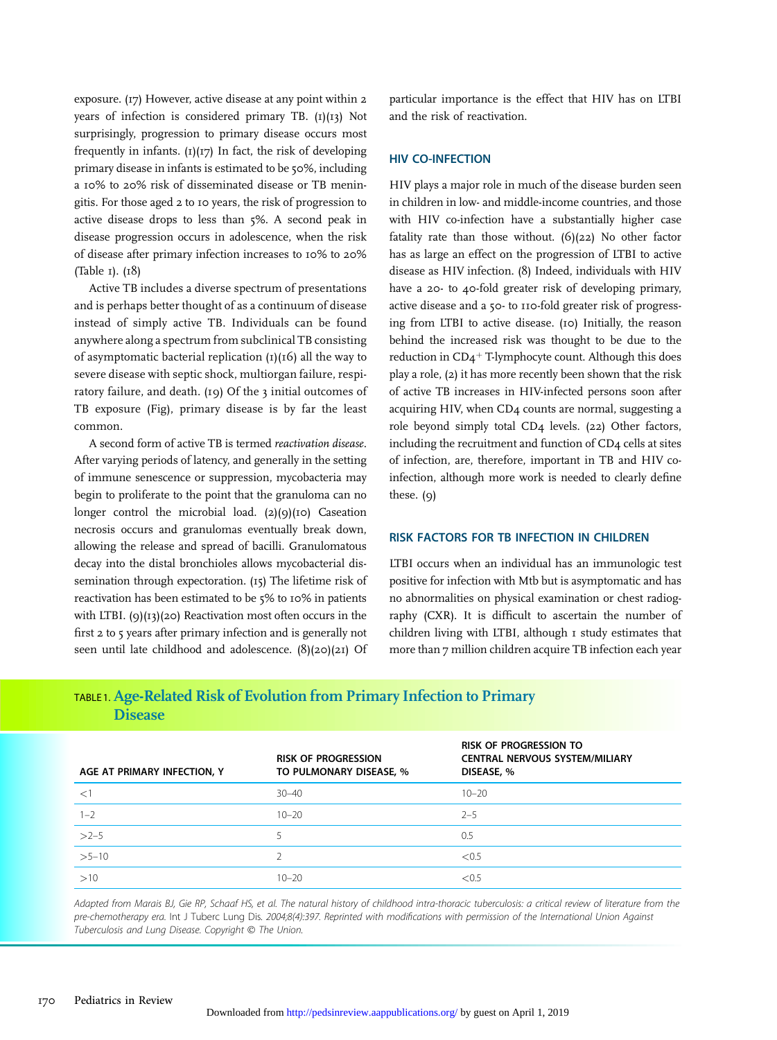exposure. (17) However, active disease at any point within 2 years of infection is considered primary TB. (1)(13) Not surprisingly, progression to primary disease occurs most frequently in infants.  $(I)(I7)$  In fact, the risk of developing primary disease in infants is estimated to be 50%, including a 10% to 20% risk of disseminated disease or TB meningitis. For those aged 2 to 10 years, the risk of progression to active disease drops to less than 5%. A second peak in disease progression occurs in adolescence, when the risk of disease after primary infection increases to 10% to 20% (Table 1). (18)

Active TB includes a diverse spectrum of presentations and is perhaps better thought of as a continuum of disease instead of simply active TB. Individuals can be found anywhere along a spectrum from subclinical TB consisting of asymptomatic bacterial replication  $(I)(16)$  all the way to severe disease with septic shock, multiorgan failure, respiratory failure, and death. (19) Of the 3 initial outcomes of TB exposure (Fig), primary disease is by far the least common.

A second form of active TB is termed reactivation disease. After varying periods of latency, and generally in the setting of immune senescence or suppression, mycobacteria may begin to proliferate to the point that the granuloma can no longer control the microbial load. (2)(9)(10) Caseation necrosis occurs and granulomas eventually break down, allowing the release and spread of bacilli. Granulomatous decay into the distal bronchioles allows mycobacterial dissemination through expectoration. (15) The lifetime risk of reactivation has been estimated to be 5% to 10% in patients with LTBI.  $(9)(13)(20)$  Reactivation most often occurs in the first 2 to 5 years after primary infection and is generally not seen until late childhood and adolescence. (8)(20)(21) Of

particular importance is the effect that HIV has on LTBI and the risk of reactivation.

#### HIV CO-INFECTION

HIV plays a major role in much of the disease burden seen in children in low- and middle-income countries, and those with HIV co-infection have a substantially higher case fatality rate than those without.  $(6)(22)$  No other factor has as large an effect on the progression of LTBI to active disease as HIV infection. (8) Indeed, individuals with HIV have a 20- to 40-fold greater risk of developing primary, active disease and a 50- to 110-fold greater risk of progressing from LTBI to active disease. (10) Initially, the reason behind the increased risk was thought to be due to the reduction in  $CD_4$ <sup>+</sup> T-lymphocyte count. Although this does play a role, (2) it has more recently been shown that the risk of active TB increases in HIV-infected persons soon after acquiring HIV, when CD4 counts are normal, suggesting a role beyond simply total CD4 levels. (22) Other factors, including the recruitment and function of CD4 cells at sites of infection, are, therefore, important in TB and HIV coinfection, although more work is needed to clearly define these.  $(q)$ 

#### RISK FACTORS FOR TB INFECTION IN CHILDREN

LTBI occurs when an individual has an immunologic test positive for infection with Mtb but is asymptomatic and has no abnormalities on physical examination or chest radiography (CXR). It is difficult to ascertain the number of children living with LTBI, although 1 study estimates that more than 7 million children acquire TB infection each year

### TABLE 1. Age-Related Risk of Evolution from Primary Infection to Primary

**Disease** 

| AGE AT PRIMARY INFECTION, Y | <b>RISK OF PROGRESSION</b><br>TO PULMONARY DISEASE, % | <b>RISK OF PROGRESSION TO</b><br><b>CENTRAL NERVOUS SYSTEM/MILIARY</b><br>DISEASE, % |
|-----------------------------|-------------------------------------------------------|--------------------------------------------------------------------------------------|
|                             | $30 - 40$                                             | $10 - 20$                                                                            |
| $1 - 2$                     | $10 - 20$                                             | $2 - 5$                                                                              |
| $>2-5$                      |                                                       | 0.5                                                                                  |
| $>5 - 10$                   |                                                       | < 0.5                                                                                |
| >10                         | $10 - 20$                                             | < 0.5                                                                                |

Adapted from Marais BJ, Gie RP, Schaaf HS, et al. The natural history of childhood intra-thoracic tuberculosis: a critical review of literature from the pre-chemotherapy era. Int J Tuberc Lung Dis. 2004;8(4):397. Reprinted with modifications with permission of the International Union Against Tuberculosis and Lung Disease. Copyright © The Union.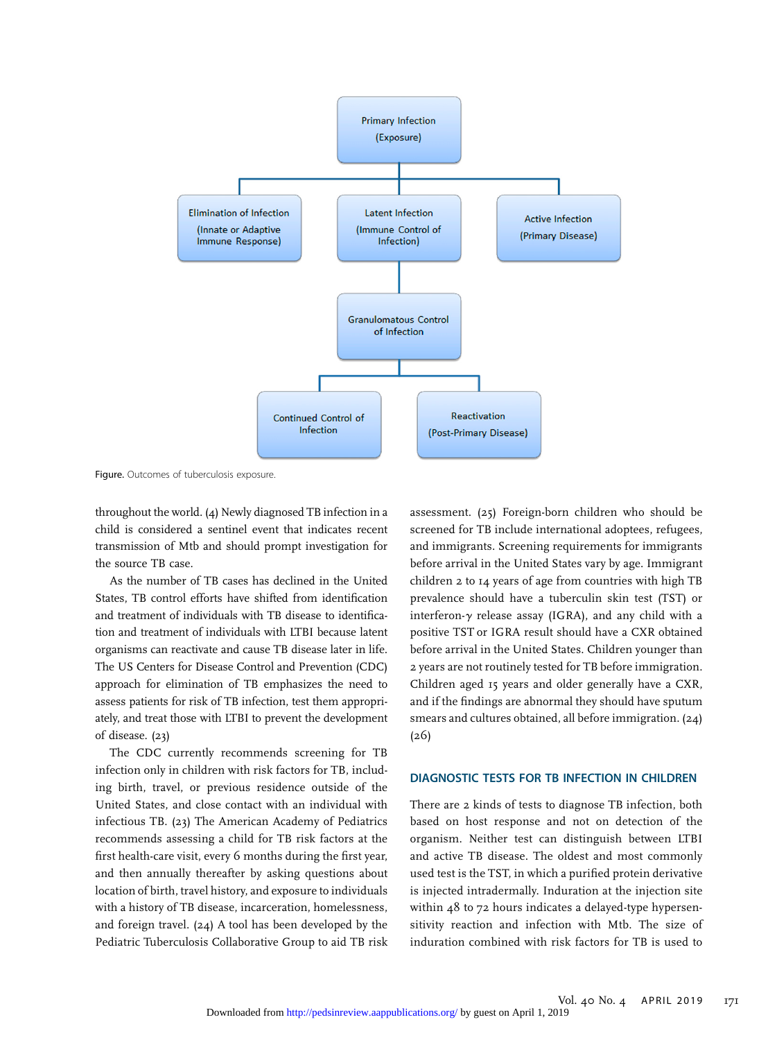

Figure. Outcomes of tuberculosis exposure.

throughout the world. (4) Newly diagnosed TB infection in a child is considered a sentinel event that indicates recent transmission of Mtb and should prompt investigation for the source TB case.

As the number of TB cases has declined in the United States, TB control efforts have shifted from identification and treatment of individuals with TB disease to identification and treatment of individuals with LTBI because latent organisms can reactivate and cause TB disease later in life. The US Centers for Disease Control and Prevention (CDC) approach for elimination of TB emphasizes the need to assess patients for risk of TB infection, test them appropriately, and treat those with LTBI to prevent the development of disease. (23)

The CDC currently recommends screening for TB infection only in children with risk factors for TB, including birth, travel, or previous residence outside of the United States, and close contact with an individual with infectious TB. (23) The American Academy of Pediatrics recommends assessing a child for TB risk factors at the first health-care visit, every 6 months during the first year, and then annually thereafter by asking questions about location of birth, travel history, and exposure to individuals with a history of TB disease, incarceration, homelessness, and foreign travel. (24) A tool has been developed by the Pediatric Tuberculosis Collaborative Group to aid TB risk

assessment. (25) Foreign-born children who should be screened for TB include international adoptees, refugees, and immigrants. Screening requirements for immigrants before arrival in the United States vary by age. Immigrant children 2 to 14 years of age from countries with high TB prevalence should have a tuberculin skin test (TST) or interferon- $\gamma$  release assay (IGRA), and any child with a positive TST or IGRA result should have a CXR obtained before arrival in the United States. Children younger than 2 years are not routinely tested for TB before immigration. Children aged 15 years and older generally have a CXR, and if the findings are abnormal they should have sputum smears and cultures obtained, all before immigration. (24) (26)

#### DIAGNOSTIC TESTS FOR TB INFECTION IN CHILDREN

There are 2 kinds of tests to diagnose TB infection, both based on host response and not on detection of the organism. Neither test can distinguish between LTBI and active TB disease. The oldest and most commonly used test is the TST, in which a purified protein derivative is injected intradermally. Induration at the injection site within 48 to 72 hours indicates a delayed-type hypersensitivity reaction and infection with Mtb. The size of induration combined with risk factors for TB is used to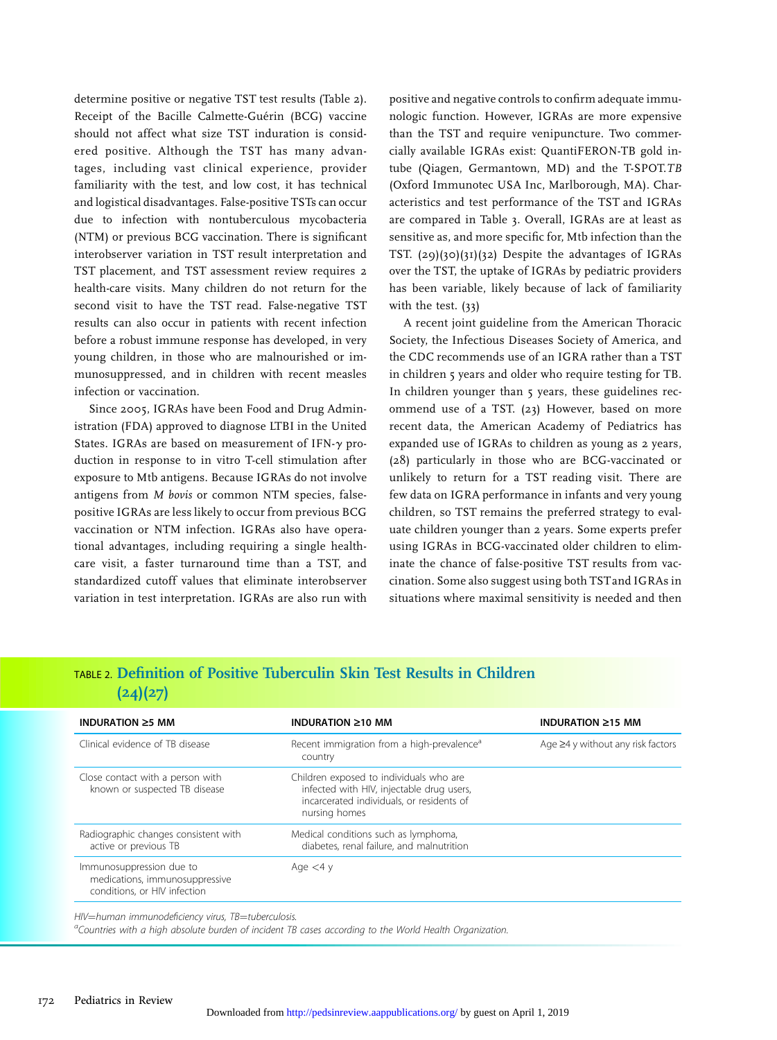determine positive or negative TST test results (Table 2). Receipt of the Bacille Calmette-Guérin (BCG) vaccine should not affect what size TST induration is considered positive. Although the TST has many advantages, including vast clinical experience, provider familiarity with the test, and low cost, it has technical and logistical disadvantages. False-positive TSTs can occur due to infection with nontuberculous mycobacteria (NTM) or previous BCG vaccination. There is significant interobserver variation in TST result interpretation and TST placement, and TST assessment review requires 2 health-care visits. Many children do not return for the second visit to have the TST read. False-negative TST results can also occur in patients with recent infection before a robust immune response has developed, in very young children, in those who are malnourished or immunosuppressed, and in children with recent measles infection or vaccination.

Since 2005, IGRAs have been Food and Drug Administration (FDA) approved to diagnose LTBI in the United States. IGRAs are based on measurement of IFN- $\gamma$  production in response to in vitro T-cell stimulation after exposure to Mtb antigens. Because IGRAs do not involve antigens from M bovis or common NTM species, falsepositive IGRAs are less likely to occur from previous BCG vaccination or NTM infection. IGRAs also have operational advantages, including requiring a single healthcare visit, a faster turnaround time than a TST, and standardized cutoff values that eliminate interobserver variation in test interpretation. IGRAs are also run with positive and negative controls to confirm adequate immunologic function. However, IGRAs are more expensive than the TST and require venipuncture. Two commercially available IGRAs exist: QuantiFERON-TB gold intube (Qiagen, Germantown, MD) and the T-SPOT.TB (Oxford Immunotec USA Inc, Marlborough, MA). Characteristics and test performance of the TST and IGRAs are compared in Table 3. Overall, IGRAs are at least as sensitive as, and more specific for, Mtb infection than the TST. (29)(30)(31)(32) Despite the advantages of IGRAs over the TST, the uptake of IGRAs by pediatric providers has been variable, likely because of lack of familiarity with the test. (33)

A recent joint guideline from the American Thoracic Society, the Infectious Diseases Society of America, and the CDC recommends use of an IGRA rather than a TST in children 5 years and older who require testing for TB. In children younger than 5 years, these guidelines recommend use of a TST. (23) However, based on more recent data, the American Academy of Pediatrics has expanded use of IGRAs to children as young as 2 years, (28) particularly in those who are BCG-vaccinated or unlikely to return for a TST reading visit. There are few data on IGRA performance in infants and very young children, so TST remains the preferred strategy to evaluate children younger than 2 years. Some experts prefer using IGRAs in BCG-vaccinated older children to eliminate the chance of false-positive TST results from vaccination. Some also suggest using both TST and IGRAs in situations where maximal sensitivity is needed and then

### TABLE 2. Definition of Positive Tuberculin Skin Test Results in Children  $(24)(27)$

| INDURATION $\geq$ 5 MM                                                                     | <b>INDURATION ≥10 MM</b>                                                                                                                           | INDURATION $\geq$ 15 MM                 |
|--------------------------------------------------------------------------------------------|----------------------------------------------------------------------------------------------------------------------------------------------------|-----------------------------------------|
| Clinical evidence of TB disease                                                            | Recent immigration from a high-prevalence <sup>a</sup><br>country                                                                                  | Age $\geq$ 4 y without any risk factors |
| Close contact with a person with<br>known or suspected TB disease                          | Children exposed to individuals who are<br>infected with HIV, injectable drug users,<br>incarcerated individuals, or residents of<br>nursing homes |                                         |
| Radiographic changes consistent with<br>active or previous TB                              | Medical conditions such as lymphoma,<br>diabetes, renal failure, and malnutrition                                                                  |                                         |
| Immunosuppression due to<br>medications, immunosuppressive<br>conditions, or HIV infection | Age $<$ 4 y                                                                                                                                        |                                         |
|                                                                                            |                                                                                                                                                    |                                         |

HIV=human immunodeficiency virus, TB=tuberculosis.

<sup>a</sup>Countries with a high absolute burden of incident TB cases according to the World Health Organization.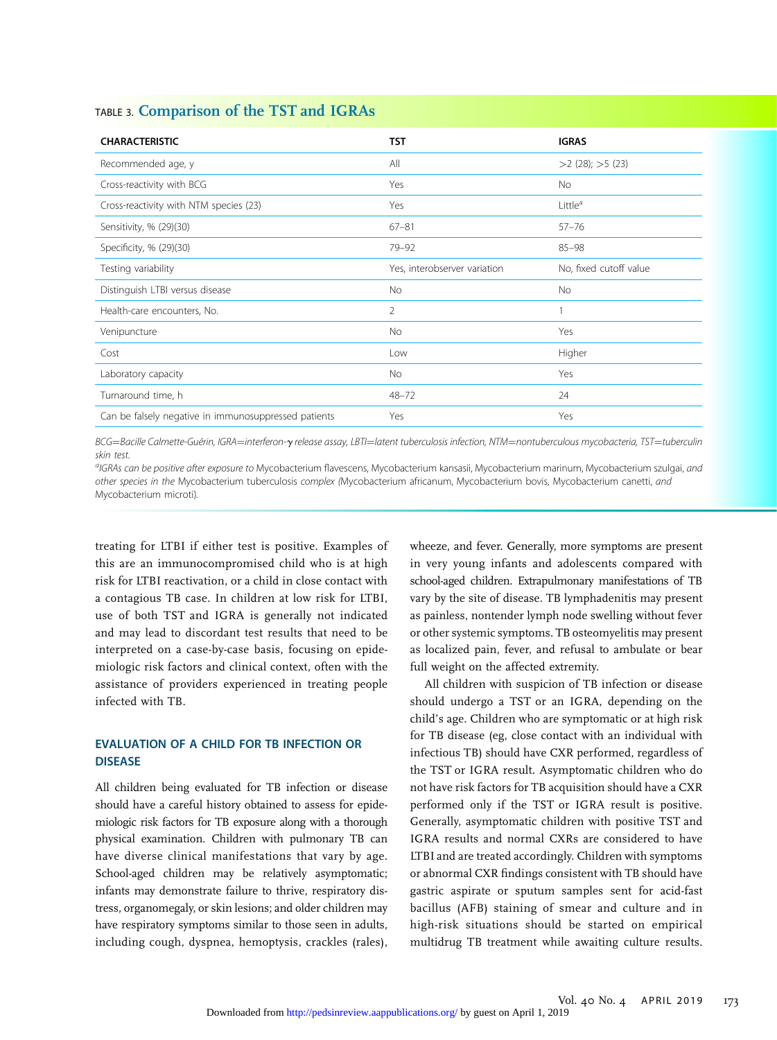#### TABLE 3. Comparison of the TST and IGRAs

| <b>CHARACTERISTIC</b>                                | <b>TST</b>                   | <b>IGRAS</b>           |
|------------------------------------------------------|------------------------------|------------------------|
| Recommended age, y                                   | All                          | $>2$ (28); $>5$ (23)   |
| Cross-reactivity with BCG                            | Yes                          | <b>No</b>              |
| Cross-reactivity with NTM species (23)               | Yes                          | Little <sup>a</sup>    |
| Sensitivity, % (29)(30)                              | $67 - 81$                    | $57 - 76$              |
| Specificity, % (29)(30)                              | $79 - 92$                    | $85 - 98$              |
| Testing variability                                  | Yes, interobserver variation | No, fixed cutoff value |
| Distinguish LTBI versus disease                      | No                           | <b>No</b>              |
| Health-care encounters, No.                          | 2                            | $\mathbf{1}$           |
| Venipuncture                                         | <b>No</b>                    | Yes                    |
| Cost                                                 | Low                          | Higher                 |
| Laboratory capacity                                  | No                           | Yes                    |
| Turnaround time, h                                   | $48 - 72$                    | 24                     |
| Can be falsely negative in immunosuppressed patients | Yes                          | Yes                    |

BCG=Bacille Calmette-Guérin, IGRA=interferon-y release assay, LBTI=latent tuberculosis infection, NTM=nontuberculous mycobacteria, TST=tuberculin skin test.

a<br>IGRAs can be positive after exposure to Mycobacterium flavescens, Mycobacterium kansasii, Mycobacterium marinum, Mycobacterium szulgai, and other species in the Mycobacterium tuberculosis complex (Mycobacterium africanum, Mycobacterium bovis, Mycobacterium canetti, and Mycobacterium microti).

treating for LTBI if either test is positive. Examples of this are an immunocompromised child who is at high risk for LTBI reactivation, or a child in close contact with a contagious TB case. In children at low risk for LTBI, use of both TST and IGRA is generally not indicated and may lead to discordant test results that need to be interpreted on a case-by-case basis, focusing on epidemiologic risk factors and clinical context, often with the assistance of providers experienced in treating people infected with TB.

#### EVALUATION OF A CHILD FOR TB INFECTION OR DISEASE

All children being evaluated for TB infection or disease should have a careful history obtained to assess for epidemiologic risk factors for TB exposure along with a thorough physical examination. Children with pulmonary TB can have diverse clinical manifestations that vary by age. School-aged children may be relatively asymptomatic; infants may demonstrate failure to thrive, respiratory distress, organomegaly, or skin lesions; and older children may have respiratory symptoms similar to those seen in adults, including cough, dyspnea, hemoptysis, crackles (rales),

wheeze, and fever. Generally, more symptoms are present in very young infants and adolescents compared with school-aged children. Extrapulmonary manifestations of TB vary by the site of disease. TB lymphadenitis may present as painless, nontender lymph node swelling without fever or other systemic symptoms. TB osteomyelitis may present as localized pain, fever, and refusal to ambulate or bear full weight on the affected extremity.

All children with suspicion of TB infection or disease should undergo a TST or an IGRA, depending on the child's age. Children who are symptomatic or at high risk for TB disease (eg, close contact with an individual with infectious TB) should have CXR performed, regardless of the TST or IGRA result. Asymptomatic children who do not have risk factors for TB acquisition should have a CXR performed only if the TST or IGRA result is positive. Generally, asymptomatic children with positive TST and IGRA results and normal CXRs are considered to have LTBI and are treated accordingly. Children with symptoms or abnormal CXR findings consistent with TB should have gastric aspirate or sputum samples sent for acid-fast bacillus (AFB) staining of smear and culture and in high-risk situations should be started on empirical multidrug TB treatment while awaiting culture results.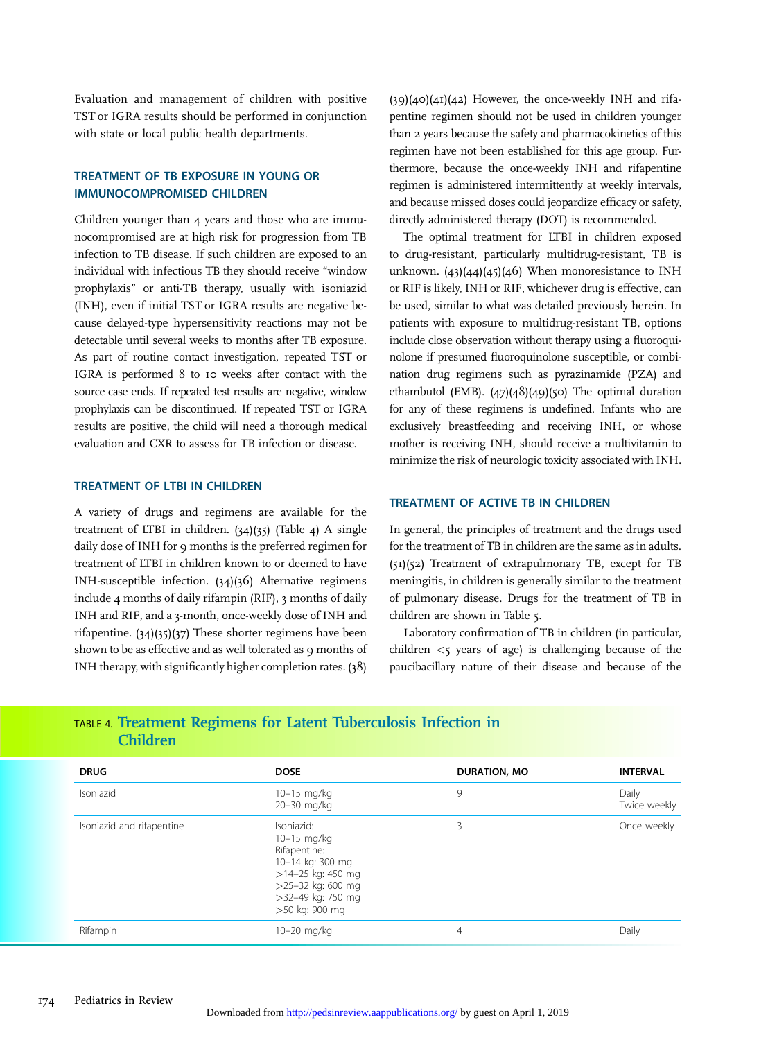Evaluation and management of children with positive TST or IGRA results should be performed in conjunction with state or local public health departments.

#### TREATMENT OF TB EXPOSURE IN YOUNG OR IMMUNOCOMPROMISED CHILDREN

Children younger than 4 years and those who are immunocompromised are at high risk for progression from TB infection to TB disease. If such children are exposed to an individual with infectious TB they should receive "window prophylaxis" or anti-TB therapy, usually with isoniazid (INH), even if initial TST or IGRA results are negative because delayed-type hypersensitivity reactions may not be detectable until several weeks to months after TB exposure. As part of routine contact investigation, repeated TST or IGRA is performed 8 to 10 weeks after contact with the source case ends. If repeated test results are negative, window prophylaxis can be discontinued. If repeated TST or IGRA results are positive, the child will need a thorough medical evaluation and CXR to assess for TB infection or disease.

#### TREATMENT OF LTBI IN CHILDREN

A variety of drugs and regimens are available for the treatment of LTBI in children. (34)(35) (Table 4) A single daily dose of INH for 9 months is the preferred regimen for treatment of LTBI in children known to or deemed to have INH-susceptible infection. (34)(36) Alternative regimens include 4 months of daily rifampin (RIF), 3 months of daily INH and RIF, and a 3-month, once-weekly dose of INH and rifapentine. (34)(35)(37) These shorter regimens have been shown to be as effective and as well tolerated as 9 months of INH therapy, with significantly higher completion rates. (38)

 $(39)(40)(41)(42)$  However, the once-weekly INH and rifapentine regimen should not be used in children younger than 2 years because the safety and pharmacokinetics of this regimen have not been established for this age group. Furthermore, because the once-weekly INH and rifapentine regimen is administered intermittently at weekly intervals, and because missed doses could jeopardize efficacy or safety, directly administered therapy (DOT) is recommended.

The optimal treatment for LTBI in children exposed to drug-resistant, particularly multidrug-resistant, TB is unknown. (43)(44)(45)(46) When monoresistance to INH or RIF is likely, INH or RIF, whichever drug is effective, can be used, similar to what was detailed previously herein. In patients with exposure to multidrug-resistant TB, options include close observation without therapy using a fluoroquinolone if presumed fluoroquinolone susceptible, or combination drug regimens such as pyrazinamide (PZA) and ethambutol (EMB). (47)(48)(49)(50) The optimal duration for any of these regimens is undefined. Infants who are exclusively breastfeeding and receiving INH, or whose mother is receiving INH, should receive a multivitamin to minimize the risk of neurologic toxicity associated with INH.

#### TREATMENT OF ACTIVE TB IN CHILDREN

In general, the principles of treatment and the drugs used for the treatment of TB in children are the same as in adults. (51)(52) Treatment of extrapulmonary TB, except for TB meningitis, in children is generally similar to the treatment of pulmonary disease. Drugs for the treatment of TB in children are shown in Table 5.

Laboratory confirmation of TB in children (in particular, children  $\lt$ 5 years of age) is challenging because of the paucibacillary nature of their disease and because of the

## TABLE 4. Treatment Regimens for Latent Tuberculosis Infection in Children

| <b>DRUG</b>               | <b>DOSE</b>                                                                                                                                    | DURATION, MO | <b>INTERVAL</b>       |
|---------------------------|------------------------------------------------------------------------------------------------------------------------------------------------|--------------|-----------------------|
| Isoniazid                 | 10-15 mg/kg<br>20-30 mg/kg                                                                                                                     | 9            | Daily<br>Twice weekly |
| Isoniazid and rifapentine | Isoniazid:<br>10-15 mg/kg<br>Rifapentine:<br>10-14 kg: 300 mg<br>>14-25 kg: 450 mg<br>>25-32 kg: 600 mg<br>>32-49 kg: 750 mg<br>>50 kg: 900 mg | 3            | Once weekly           |
| Rifampin                  | 10-20 mg/kg                                                                                                                                    | 4            | Daily                 |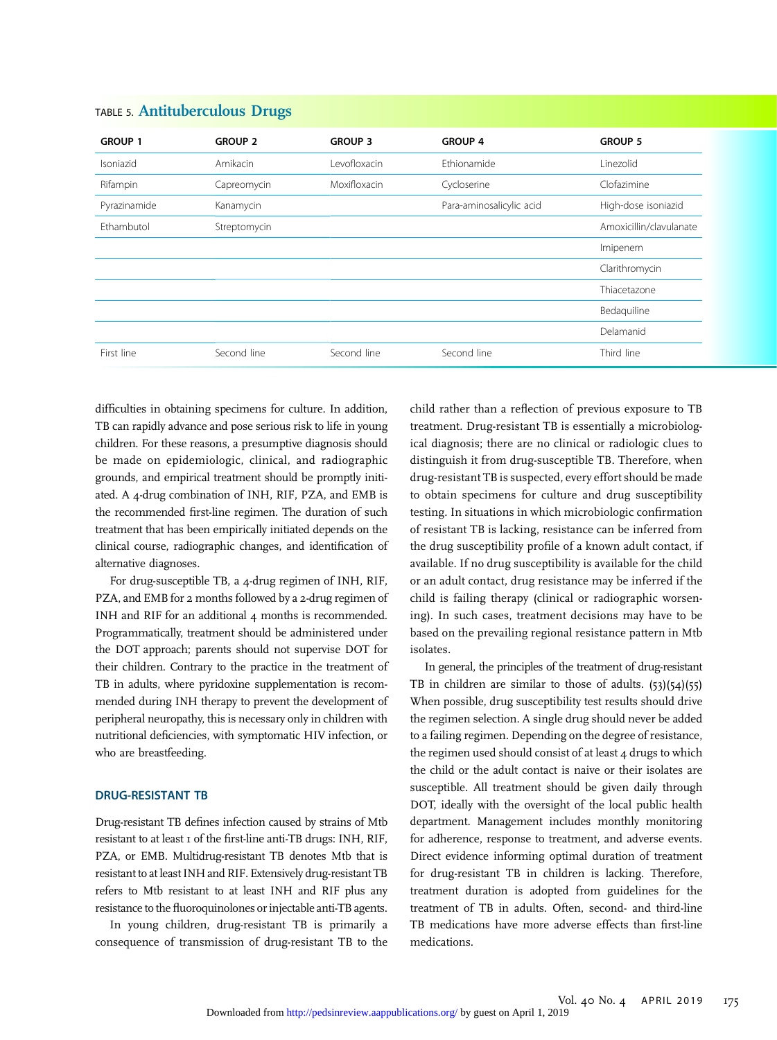| <b>GROUP 1</b> | <b>GROUP 2</b> | <b>GROUP 3</b> | <b>GROUP 4</b>           | <b>GROUP 5</b>          |
|----------------|----------------|----------------|--------------------------|-------------------------|
| Isoniazid      | Amikacin       | Levofloxacin   | Ethionamide              | Linezolid               |
| Rifampin       | Capreomycin    | Moxifloxacin   | Cycloserine              | Clofazimine             |
| Pyrazinamide   | Kanamycin      |                | Para-aminosalicylic acid | High-dose isoniazid     |
| Fthambutol     | Streptomycin   |                |                          | Amoxicillin/clavulanate |
|                |                |                |                          | Imipenem                |
|                |                |                |                          | Clarithromycin          |
|                |                |                |                          | Thiacetazone            |
|                |                |                |                          | Bedaquiline             |
|                |                |                |                          | Delamanid               |
| First line     | Second line    | Second line    | Second line              | Third line              |

#### TABLE 5. Antituberculous Drugs

difficulties in obtaining specimens for culture. In addition, TB can rapidly advance and pose serious risk to life in young children. For these reasons, a presumptive diagnosis should be made on epidemiologic, clinical, and radiographic grounds, and empirical treatment should be promptly initiated. A 4-drug combination of INH, RIF, PZA, and EMB is the recommended first-line regimen. The duration of such treatment that has been empirically initiated depends on the clinical course, radiographic changes, and identification of alternative diagnoses.

For drug-susceptible TB, a 4-drug regimen of INH, RIF, PZA, and EMB for 2 months followed by a 2-drug regimen of INH and RIF for an additional 4 months is recommended. Programmatically, treatment should be administered under the DOT approach; parents should not supervise DOT for their children. Contrary to the practice in the treatment of TB in adults, where pyridoxine supplementation is recommended during INH therapy to prevent the development of peripheral neuropathy, this is necessary only in children with nutritional deficiencies, with symptomatic HIV infection, or who are breastfeeding.

#### DRUG-RESISTANT TB

Drug-resistant TB defines infection caused by strains of Mtb resistant to at least 1 of the first-line anti-TB drugs: INH, RIF, PZA, or EMB. Multidrug-resistant TB denotes Mtb that is resistant to at least INH and RIF. Extensively drug-resistant TB refers to Mtb resistant to at least INH and RIF plus any resistance to the fluoroquinolones or injectable anti-TB agents.

In young children, drug-resistant TB is primarily a consequence of transmission of drug-resistant TB to the child rather than a reflection of previous exposure to TB treatment. Drug-resistant TB is essentially a microbiological diagnosis; there are no clinical or radiologic clues to distinguish it from drug-susceptible TB. Therefore, when drug-resistant TB is suspected, every effort should be made to obtain specimens for culture and drug susceptibility testing. In situations in which microbiologic confirmation of resistant TB is lacking, resistance can be inferred from the drug susceptibility profile of a known adult contact, if available. If no drug susceptibility is available for the child or an adult contact, drug resistance may be inferred if the child is failing therapy (clinical or radiographic worsening). In such cases, treatment decisions may have to be based on the prevailing regional resistance pattern in Mtb isolates.

In general, the principles of the treatment of drug-resistant TB in children are similar to those of adults. (53)(54)(55) When possible, drug susceptibility test results should drive the regimen selection. A single drug should never be added to a failing regimen. Depending on the degree of resistance, the regimen used should consist of at least 4 drugs to which the child or the adult contact is naive or their isolates are susceptible. All treatment should be given daily through DOT, ideally with the oversight of the local public health department. Management includes monthly monitoring for adherence, response to treatment, and adverse events. Direct evidence informing optimal duration of treatment for drug-resistant TB in children is lacking. Therefore, treatment duration is adopted from guidelines for the treatment of TB in adults. Often, second- and third-line TB medications have more adverse effects than first-line medications.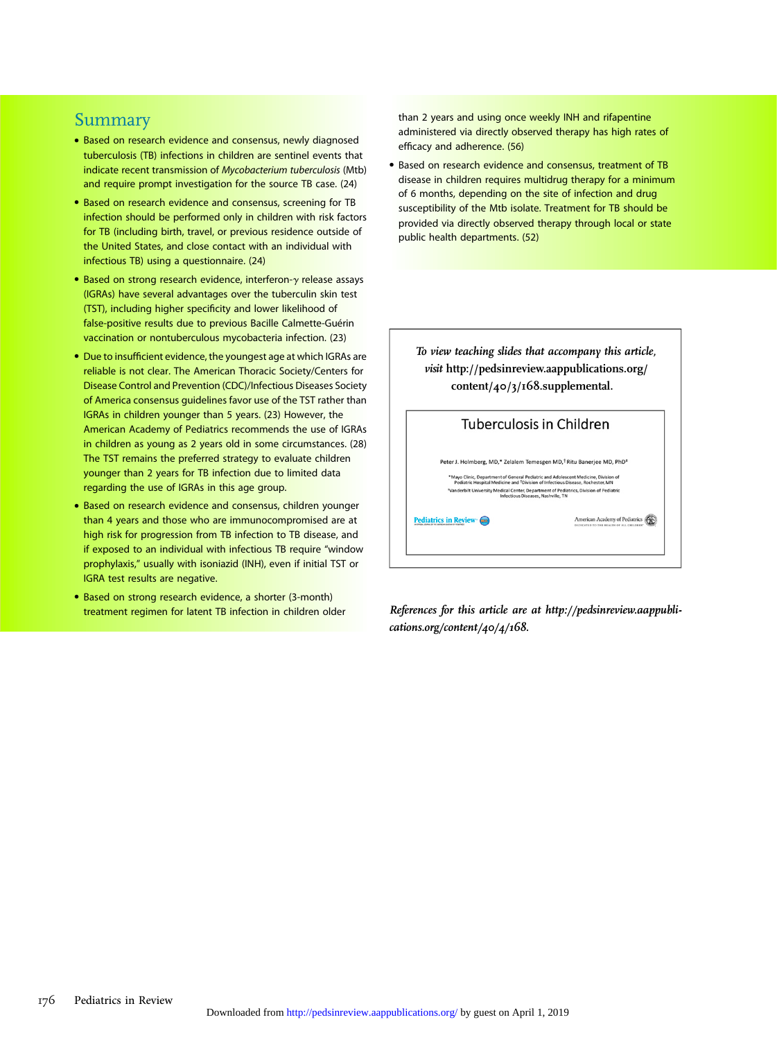### Summary

- Based on research evidence and consensus, newly diagnosed tuberculosis (TB) infections in children are sentinel events that indicate recent transmission of Mycobacterium tuberculosis (Mtb) and require prompt investigation for the source TB case. (24)
- Based on research evidence and consensus, screening for TB infection should be performed only in children with risk factors for TB (including birth, travel, or previous residence outside of the United States, and close contact with an individual with infectious TB) using a questionnaire. (24)
- Based on strong research evidence, interferon- $\gamma$  release assays (IGRAs) have several advantages over the tuberculin skin test (TST), including higher specificity and lower likelihood of false-positive results due to previous Bacille Calmette-Guérin vaccination or nontuberculous mycobacteria infection. (23)
- Due to insufficient evidence, the youngest age at which IGRAs are reliable is not clear. The American Thoracic Society/Centers for Disease Control and Prevention (CDC)/Infectious Diseases Society of America consensus guidelines favor use of the TST rather than IGRAs in children younger than 5 years. (23) However, the American Academy of Pediatrics recommends the use of IGRAs in children as young as 2 years old in some circumstances. (28) The TST remains the preferred strategy to evaluate children younger than 2 years for TB infection due to limited data regarding the use of IGRAs in this age group.
- Based on research evidence and consensus, children younger than 4 years and those who are immunocompromised are at high risk for progression from TB infection to TB disease, and if exposed to an individual with infectious TB require "window prophylaxis," usually with isoniazid (INH), even if initial TST or IGRA test results are negative.
- Based on strong research evidence, a shorter (3-month) treatment regimen for latent TB infection in children older

than 2 years and using once weekly INH and rifapentine administered via directly observed therapy has high rates of efficacy and adherence. (56)

• Based on research evidence and consensus, treatment of TB disease in children requires multidrug therapy for a minimum of 6 months, depending on the site of infection and drug susceptibility of the Mtb isolate. Treatment for TB should be provided via directly observed therapy through local or state public health departments. (52)

To vie[w teaching slides that accompany this articl](http://pedsinreview.aappublications.org/content/40/3/168.supplemental)e, [visit](http://pedsinreview.aappublications.org/content/40/3/168.supplemental) [http://pedsinreview.aappublicatio](http://pedsinreview.aappublications.org/content/40/3/168.supplemental)ns.org/ content/40/3/168.supplemental.



References for this article are at [http://pedsinreview.aappubli](http://pedsinreview.aappublications.org/content/40/4/168)[cations.org/content/40/4/168](http://pedsinreview.aappublications.org/content/40/4/168).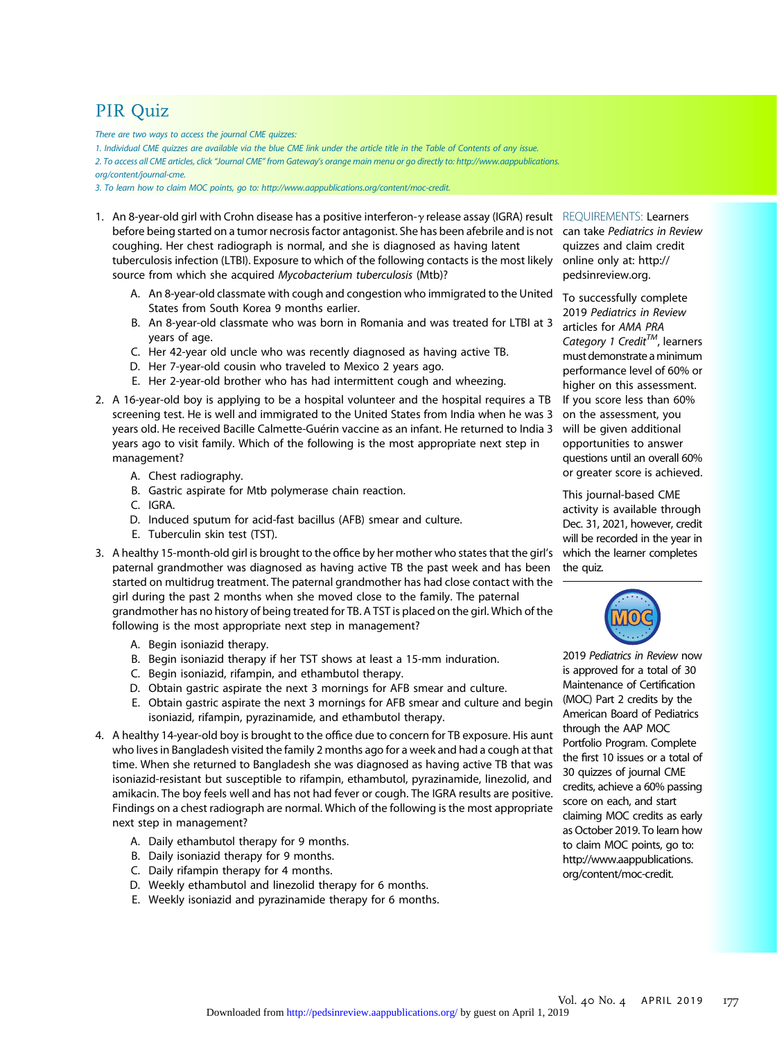## PIR Quiz

There are two ways to access the journal CME quizzes:

1. Individual CME quizzes are available via the blue CME link under the article title in the Table of Contents of any issue.

2. To access all CME articles, click "Journal CME" from Gateway's orange main menu or go directly to: [http://www.aappublications.](http://www.aappublications.org/content/journal-cme)

[org/content/journal-cme.](http://www.aappublications.org/content/journal-cme)

3. To learn how to claim MOC points, go to: [http://www.aappublications.org/content/moc-credit.](http://www.aappublications.org/content/moc-credit)

- 1. An 8-year-old girl with Crohn disease has a positive interferon-y release assay (IGRA) result REQUIREMENTS: Learners<br>hefore being started on a tumor pecrosis factor antagonist. She has been afebrile and is not can tak before being started on a tumor necrosis factor antagonist. She has been afebrile and is not can take Pediatrics in Review coughing. Her chest radiograph is normal, and she is diagnosed as having latent tuberculosis infection (LTBI). Exposure to which of the following contacts is the most likely source from which she acquired Mycobacterium tuberculosis (Mtb)?
	- A. An 8-year-old classmate with cough and congestion who immigrated to the United States from South Korea 9 months earlier.
	- B. An 8-year-old classmate who was born in Romania and was treated for LTBI at 3 years of age.
	- C. Her 42-year old uncle who was recently diagnosed as having active TB.
	- D. Her 7-year-old cousin who traveled to Mexico 2 years ago.
	- E. Her 2-year-old brother who has had intermittent cough and wheezing.
- 2. A 16-year-old boy is applying to be a hospital volunteer and the hospital requires a TB screening test. He is well and immigrated to the United States from India when he was 3 years old. He received Bacille Calmette-Guérin vaccine as an infant. He returned to India 3 years ago to visit family. Which of the following is the most appropriate next step in management?
	- A. Chest radiography.
	- B. Gastric aspirate for Mtb polymerase chain reaction.
	- C. IGRA.
	- D. Induced sputum for acid-fast bacillus (AFB) smear and culture.
	- E. Tuberculin skin test (TST).
- 3. A healthy 15-month-old girl is brought to the office by her mother who states that the girl's paternal grandmother was diagnosed as having active TB the past week and has been started on multidrug treatment. The paternal grandmother has had close contact with the girl during the past 2 months when she moved close to the family. The paternal grandmother has no history of being treated for TB. A TST is placed on the girl. Which of the following is the most appropriate next step in management?
	- A. Begin isoniazid therapy.
	- B. Begin isoniazid therapy if her TST shows at least a 15-mm induration.
	- C. Begin isoniazid, rifampin, and ethambutol therapy.
	- D. Obtain gastric aspirate the next 3 mornings for AFB smear and culture.
	- E. Obtain gastric aspirate the next 3 mornings for AFB smear and culture and begin isoniazid, rifampin, pyrazinamide, and ethambutol therapy.
- 4. A healthy 14-year-old boy is brought to the office due to concern for TB exposure. His aunt who lives in Bangladesh visited the family 2 months ago for a week and had a cough at that time. When she returned to Bangladesh she was diagnosed as having active TB that was isoniazid-resistant but susceptible to rifampin, ethambutol, pyrazinamide, linezolid, and amikacin. The boy feels well and has not had fever or cough. The IGRA results are positive. Findings on a chest radiograph are normal. Which of the following is the most appropriate next step in management?
	- A. Daily ethambutol therapy for 9 months.
	- B. Daily isoniazid therapy for 9 months.
	- C. Daily rifampin therapy for 4 months.
	- D. Weekly ethambutol and linezolid therapy for 6 months.
	- E. Weekly isoniazid and pyrazinamide therapy for 6 months.

quizzes and claim credit online only at: [http://](http://pedsinreview.org) [pedsinreview.org](http://pedsinreview.org).

To successfully complete 2019 Pediatrics in Review articles for AMA PRA Category 1 Credit<sup>TM</sup>, learners must demonstrate aminimum performance level of 60% or higher on this assessment. If you score less than 60% on the assessment, you will be given additional opportunities to answer questions until an overall 60% or greater score is achieved.

This journal-based CME activity is available through Dec. 31, 2021, however, credit will be recorded in the year in which the learner completes the quiz.



2019 Pediatrics in Review now is approved for a total of 30 Maintenance of Certification (MOC) Part 2 credits by the American Board of Pediatrics through the AAP MOC Portfolio Program. Complete the first 10 issues or a total of 30 quizzes of journal CME credits, achieve a 60% passing score on each, and start claiming MOC credits as early as October 2019. To learn how to claim MOC points, go to: [http://www.aappublications.](http://www.aappublications.org/content/moc-credit) [org/content/moc-credit](http://www.aappublications.org/content/moc-credit).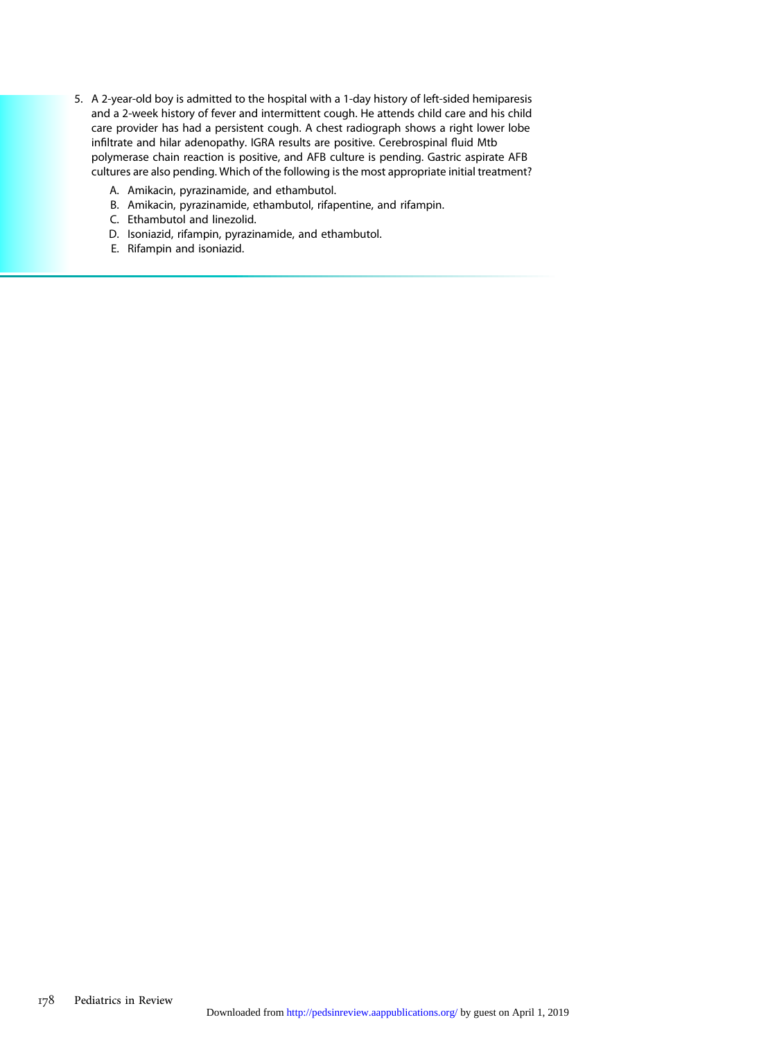- 5. A 2-year-old boy is admitted to the hospital with a 1-day history of left-sided hemiparesis and a 2-week history of fever and intermittent cough. He attends child care and his child care provider has had a persistent cough. A chest radiograph shows a right lower lobe infiltrate and hilar adenopathy. IGRA results are positive. Cerebrospinal fluid Mtb polymerase chain reaction is positive, and AFB culture is pending. Gastric aspirate AFB cultures are also pending. Which of the following is the most appropriate initial treatment?
	- A. Amikacin, pyrazinamide, and ethambutol.
	- B. Amikacin, pyrazinamide, ethambutol, rifapentine, and rifampin.
	- C. Ethambutol and linezolid.
	- D. Isoniazid, rifampin, pyrazinamide, and ethambutol.
	- E. Rifampin and isoniazid.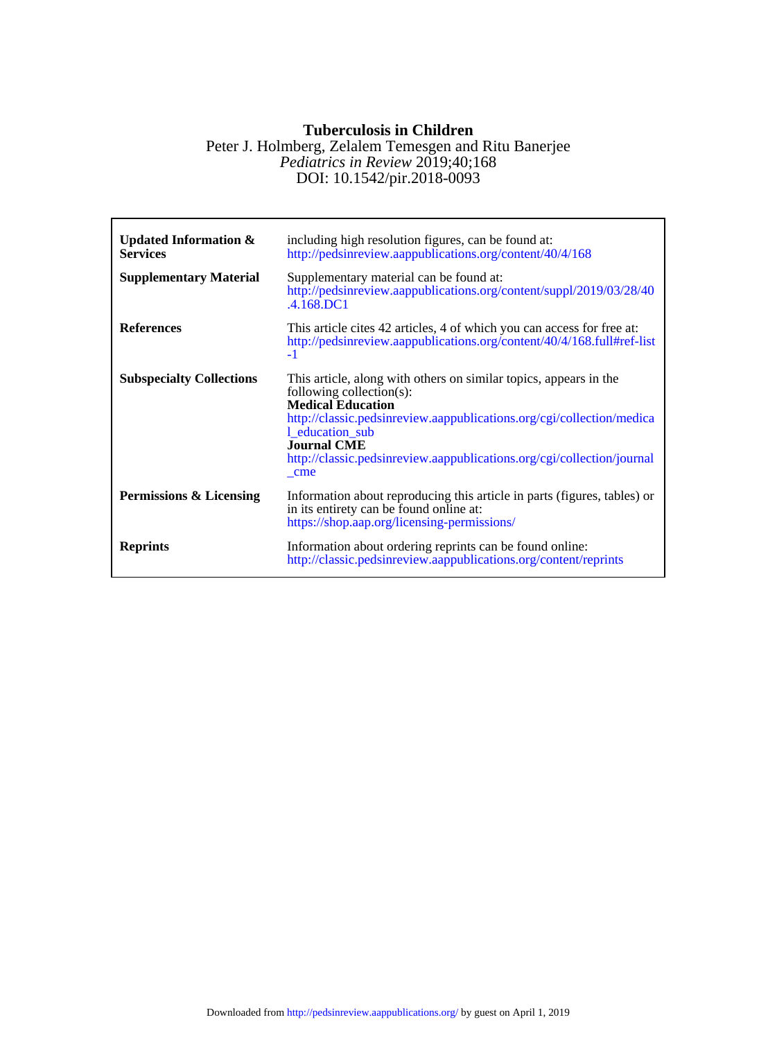#### DOI: 10.1542/pir.2018-0093 *Pediatrics in Review* 2019;40;168 Peter J. Holmberg, Zelalem Temesgen and Ritu Banerjee **Tuberculosis in Children**

| <b>Updated Information &amp;</b><br><b>Services</b> | including high resolution figures, can be found at:<br>http://pedsinreview.aappublications.org/content/40/4/168                                                                                                                                                                                                              |
|-----------------------------------------------------|------------------------------------------------------------------------------------------------------------------------------------------------------------------------------------------------------------------------------------------------------------------------------------------------------------------------------|
| <b>Supplementary Material</b>                       | Supplementary material can be found at:<br>http://pedsinreview.aappublications.org/content/suppl/2019/03/28/40<br>.4.168.DC1                                                                                                                                                                                                 |
| <b>References</b>                                   | This article cites 42 articles, 4 of which you can access for free at:<br>http://pedsinreview.aappublications.org/content/40/4/168.full#ref-list<br>$-1$                                                                                                                                                                     |
| <b>Subspecialty Collections</b>                     | This article, along with others on similar topics, appears in the<br>following collection(s):<br><b>Medical Education</b><br>http://classic.pedsinreview.aappublications.org/cgi/collection/medica<br>1 education sub<br><b>Journal CME</b><br>http://classic.pedsinreview.aappublications.org/cgi/collection/journal<br>cme |
| Permissions & Licensing                             | Information about reproducing this article in parts (figures, tables) or<br>in its entirety can be found online at:<br>https://shop.aap.org/licensing-permissions/                                                                                                                                                           |
| <b>Reprints</b>                                     | Information about ordering reprints can be found online:<br>http://classic.pedsinreview.aappublications.org/content/reprints                                                                                                                                                                                                 |